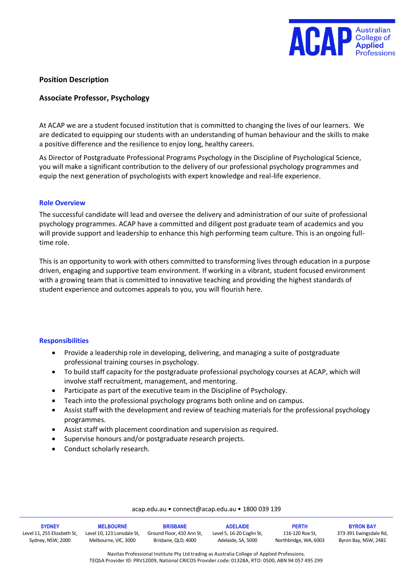

## **Position Description**

## **Associate Professor, Psychology**

At ACAP we are a student focused institution that is committed to changing the lives of our learners. We are dedicated to equipping our students with an understanding of human behaviour and the skills to make a positive difference and the resilience to enjoy long, healthy careers.

As Director of Postgraduate Professional Programs Psychology in the Discipline of Psychological Science, you will make a significant contribution to the delivery of our professional psychology programmes and equip the next generation of psychologists with expert knowledge and real-life experience.

#### **Role Overview**

The successful candidate will lead and oversee the delivery and administration of our suite of professional psychology programmes. ACAP have a committed and diligent post graduate team of academics and you will provide support and leadership to enhance this high performing team culture. This is an ongoing fulltime role.

This is an opportunity to work with others committed to transforming lives through education in a purpose driven, engaging and supportive team environment. If working in a vibrant, student focused environment with a growing team that is committed to innovative teaching and providing the highest standards of student experience and outcomes appeals to you, you will flourish here.

#### **Responsibilities**

- Provide a leadership role in developing, delivering, and managing a suite of postgraduate professional training courses in psychology.
- To build staff capacity for the postgraduate professional psychology courses at ACAP, which will involve staff recruitment, management, and mentoring.
- Participate as part of the executive team in the Discipline of Psychology.
- Teach into the professional psychology programs both online and on campus.
- Assist staff with the development and review of teaching materials for the professional psychology programmes.
- Assist staff with placement coordination and supervision as required.
- Supervise honours and/or postgraduate research projects.
- Conduct scholarly research.

#### acap.edu.au • connect@acap.edu.au • 1800 039 139

| <b>SYDNEY</b>               | <b>MELBOURNE</b>           | <b>BRISBANE</b>           | <b>ADELAIDE</b>           | <b>PERTH</b>          | <b>BYRON BAY</b>      |
|-----------------------------|----------------------------|---------------------------|---------------------------|-----------------------|-----------------------|
| Level 11, 255 Elizabeth St. | Level 10. 123 Lonsdale St. | Ground Floor, 410 Ann St. | Level 5, 16-20 Coglin St, | 116-120 Roe St.       | 373-391 Ewingsdale Rd |
| Sydney, NSW, 2000           | Melbourne, VIC, 3000       | Brisbane, QLD, 4000       | Adelaide, SA, 5000        | Northbridge, WA, 6003 | Byron Bay, NSW, 2481  |

Navitas Professional Institute Pty Ltd trading as Australia College of Applied Professions. TEQSA Provider ID: PRV12009, National CRICOS Provider code: 01328A, RTO: 0500, ABN 94 057 495 299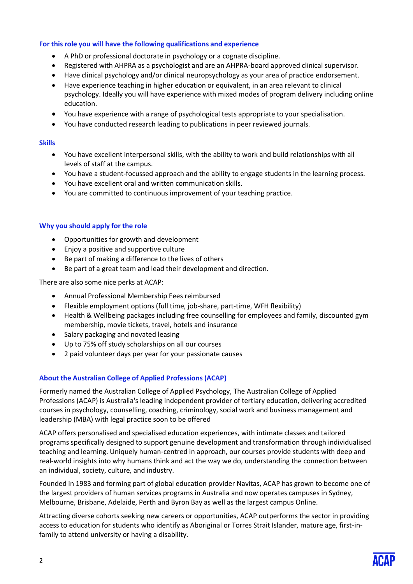## **For this role you will have the following qualifications and experience**

- A PhD or professional doctorate in psychology or a cognate discipline.
- Registered with AHPRA as a psychologist and are an AHPRA-board approved clinical supervisor.
- Have clinical psychology and/or clinical neuropsychology as your area of practice endorsement.
- Have experience teaching in higher education or equivalent, in an area relevant to clinical psychology. Ideally you will have experience with mixed modes of program delivery including online education.
- You have experience with a range of psychological tests appropriate to your specialisation.
- You have conducted research leading to publications in peer reviewed journals.

### **Skills**

- You have excellent interpersonal skills, with the ability to work and build relationships with all levels of staff at the campus.
- You have a student-focussed approach and the ability to engage students in the learning process.
- You have excellent oral and written communication skills.
- You are committed to continuous improvement of your teaching practice.

## **Why you should apply for the role**

- Opportunities for growth and development
- Enjoy a positive and supportive culture
- Be part of making a difference to the lives of others
- Be part of a great team and lead their development and direction.

There are also some nice perks at ACAP:

- Annual Professional Membership Fees reimbursed
- Flexible employment options (full time, job-share, part-time, WFH flexibility)
- Health & Wellbeing packages including free counselling for employees and family, discounted gym membership, movie tickets, travel, hotels and insurance
- Salary packaging and novated leasing
- Up to 75% off study scholarships on all our courses
- 2 paid volunteer days per year for your passionate causes

# **About the Australian College of Applied Professions (ACAP)**

Formerly named the Australian College of Applied Psychology, The Australian College of Applied Professions (ACAP) is Australia's leading independent provider of tertiary education, delivering accredited courses in psychology, counselling, coaching, criminology, social work and business management and leadership (MBA) with legal practice soon to be offered

ACAP offers personalised and specialised education experiences, with intimate classes and tailored programs specifically designed to support genuine development and transformation through individualised teaching and learning. Uniquely human-centred in approach, our courses provide students with deep and real-world insights into why humans think and act the way we do, understanding the connection between an individual, society, culture, and industry.

Founded in 1983 and forming part of global education provider Navitas, ACAP has grown to become one of the largest providers of human services programs in Australia and now operates campuses in Sydney, Melbourne, Brisbane, Adelaide, Perth and Byron Bay as well as the largest campus Online.

Attracting diverse cohorts seeking new careers or opportunities, ACAP outperforms the sector in providing access to education for students who identify as Aboriginal or Torres Strait Islander, mature age, first-infamily to attend university or having a disability.